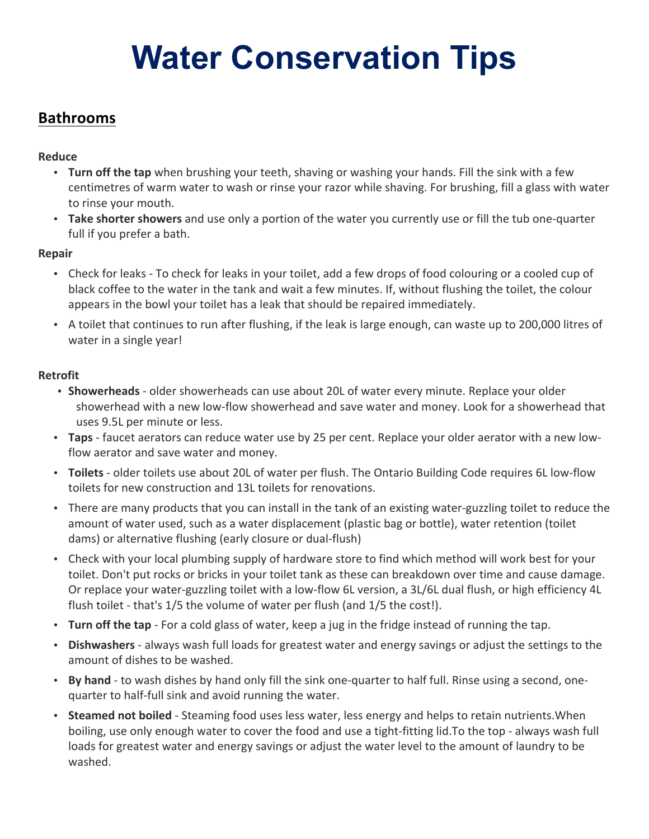# **Water Conservation Tips**

## **Bathrooms**

#### **Reduce**

- **Turn off the tap** when brushing your teeth, shaving or washing your hands. Fill the sink with a few centimetres of warm water to wash or rinse your razor while shaving. For brushing, fill a glass with water to rinse your mouth.
- **Take shorter showers** and use only a portion of the water you currently use or fill the tub one-quarter full if you prefer a bath.

#### **Repair**

- Check for leaks To check for leaks in your toilet, add a few drops of food colouring or a cooled cup of black coffee to the water in the tank and wait a few minutes. If, without flushing the toilet, the colour appears in the bowl your toilet has a leak that should be repaired immediately.
- A toilet that continues to run after flushing, if the leak is large enough, can waste up to 200,000 litres of water in a single year!

#### **Retrofit**

- **Showerheads** older showerheads can use about 20L of water every minute. Replace your older showerhead with a new low-flow showerhead and save water and money. Look for a showerhead that uses 9.5L per minute or less.
- **Taps** faucet aerators can reduce water use by 25 per cent. Replace your older aerator with a new lowflow aerator and save water and money.
- **Toilets** older toilets use about 20L of water per flush. The Ontario Building Code requires 6L low-flow toilets for new construction and 13L toilets for renovations.
- There are many products that you can install in the tank of an existing water-guzzling toilet to reduce the amount of water used, such as a water displacement (plastic bag or bottle), water retention (toilet dams) or alternative flushing (early closure or dual-flush)
- Check with your local plumbing supply of hardware store to find which method will work best for your toilet. Don't put rocks or bricks in your toilet tank as these can breakdown over time and cause damage. Or replace your water-guzzling toilet with a low-flow 6L version, a 3L/6L dual flush, or high efficiency 4L flush toilet - that's 1/5 the volume of water per flush (and 1/5 the cost!).
- **Turn off the tap** For a cold glass of water, keep a jug in the fridge instead of running the tap.
- **Dishwashers** always wash full loads for greatest water and energy savings or adjust the settings to the amount of dishes to be washed.
- **By hand** to wash dishes by hand only fill the sink one-quarter to half full. Rinse using a second, onequarter to half-full sink and avoid running the water.
- **Steamed not boiled** Steaming food uses less water, less energy and helps to retain nutrients. When boiling, use only enough water to cover the food and use a tight-fitting lid. To the top - always wash full loads for greatest water and energy savings or adjust the water level to the amount of laundry to be washed.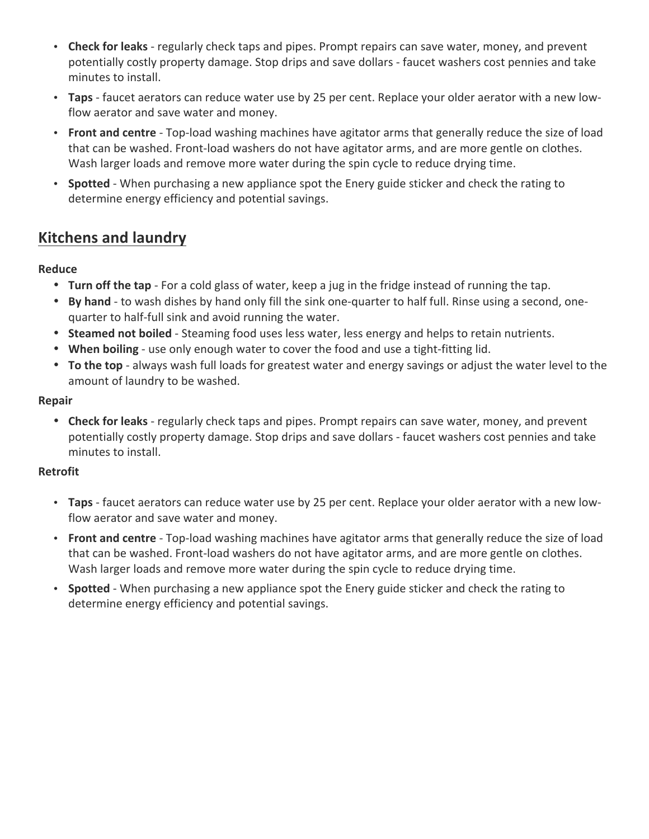- Check for leaks regularly check taps and pipes. Prompt repairs can save water, money, and prevent potentially costly property damage. Stop drips and save dollars - faucet washers cost pennies and take minutes to install.
- **Taps** faucet aerators can reduce water use by 25 per cent. Replace your older aerator with a new lowflow aerator and save water and money.
- **Front and centre** Top-load washing machines have agitator arms that generally reduce the size of load that can be washed. Front-load washers do not have agitator arms, and are more gentle on clothes. Wash larger loads and remove more water during the spin cycle to reduce drying time.
- **Spotted** When purchasing a new appliance spot the Enery guide sticker and check the rating to determine energy efficiency and potential savings.

## **Kitchens and laundry**

#### **Reduce**

- **Turn off the tap** For a cold glass of water, keep a jug in the fridge instead of running the tap.
- **By hand** to wash dishes by hand only fill the sink one-quarter to half full. Rinse using a second, onequarter to half-full sink and avoid running the water.
- **Steamed not boiled** Steaming food uses less water, less energy and helps to retain nutrients.
- When boiling use only enough water to cover the food and use a tight-fitting lid.
- **To the top** always wash full loads for greatest water and energy savings or adjust the water level to the amount of laundry to be washed.

#### **Repair**

• Check for leaks - regularly check taps and pipes. Prompt repairs can save water, money, and prevent potentially costly property damage. Stop drips and save dollars - faucet washers cost pennies and take minutes to install.

#### **Retrofit**

- Taps faucet aerators can reduce water use by 25 per cent. Replace your older aerator with a new lowflow aerator and save water and money.
- **Front and centre** Top-load washing machines have agitator arms that generally reduce the size of load that can be washed. Front-load washers do not have agitator arms, and are more gentle on clothes. Wash larger loads and remove more water during the spin cycle to reduce drying time.
- **Spotted** When purchasing a new appliance spot the Enery guide sticker and check the rating to determine energy efficiency and potential savings.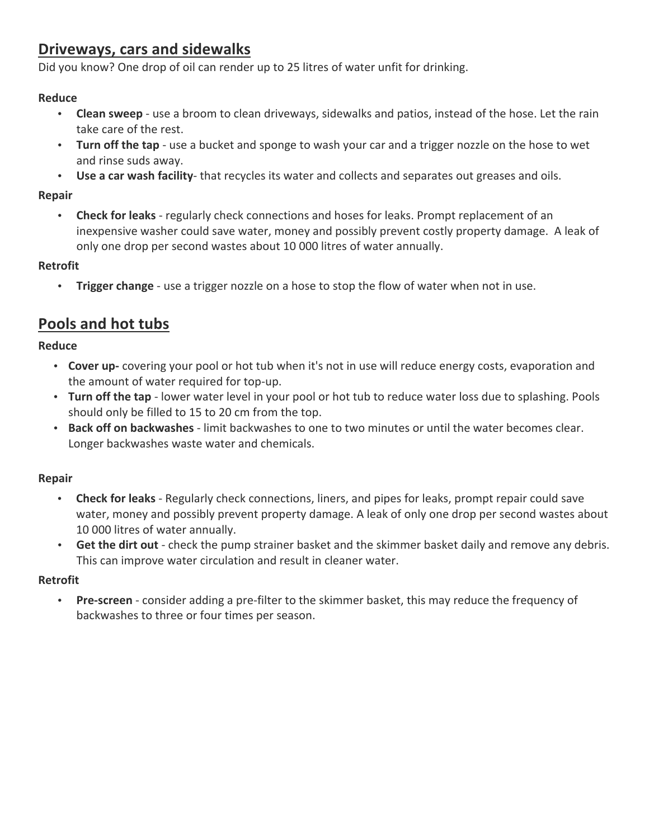## **Driveways, cars and sidewalks**

Did you know? One drop of oil can render up to 25 litres of water unfit for drinking.

#### **Reduce**

- **Clean sweep** use a broom to clean driveways, sidewalks and patios, instead of the hose. Let the rain take care of the rest.
- Turn off the tap use a bucket and sponge to wash your car and a trigger nozzle on the hose to wet and rinse suds away.
- **Use a car wash facility** that recycles its water and collects and separates out greases and oils.

#### **Repair**

**Check for leaks** - regularly check connections and hoses for leaks. Prompt replacement of an inexpensive washer could save water, money and possibly prevent costly property damage. A leak of only one drop per second wastes about 10 000 litres of water annually.

#### **Retrofit**

• **Trigger change** - use a trigger nozzle on a hose to stop the flow of water when not in use.

## **Pools and hot tubs**

#### **Reduce**

- Cover up- covering your pool or hot tub when it's not in use will reduce energy costs, evaporation and the amount of water required for top-up.
- **Turn off the tap** lower water level in your pool or hot tub to reduce water loss due to splashing. Pools should only be filled to 15 to 20 cm from the top.
- **Back off on backwashes** limit backwashes to one to two minutes or until the water becomes clear. Longer backwashes waste water and chemicals.

#### **Repair**

- **Check for leaks** Regularly check connections, liners, and pipes for leaks, prompt repair could save water, money and possibly prevent property damage. A leak of only one drop per second wastes about 10 000 litres of water annually.
- Get the dirt out check the pump strainer basket and the skimmer basket daily and remove any debris. This can improve water circulation and result in cleaner water.

#### **Retrofit**

• Pre-screen - consider adding a pre-filter to the skimmer basket, this may reduce the frequency of backwashes to three or four times per season.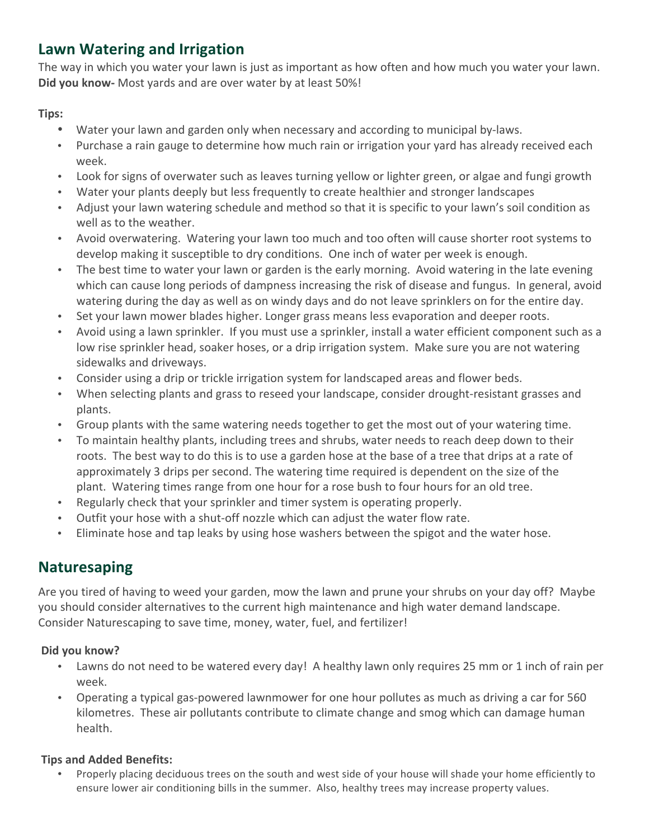# Lawn Watering and Irrigation

The way in which you water your lawn is just as important as how often and how much you water your lawn. **Did you know-** Most yards and are over water by at least 50%!

**Tips:**

- Water your lawn and garden only when necessary and according to municipal by-laws.
- Purchase a rain gauge to determine how much rain or irrigation your yard has already received each week.
- Look for signs of overwater such as leaves turning yellow or lighter green, or algae and fungi growth
- Water your plants deeply but less frequently to create healthier and stronger landscapes
- Adjust your lawn watering schedule and method so that it is specific to your lawn's soil condition as well as to the weather.
- Avoid overwatering. Watering your lawn too much and too often will cause shorter root systems to develop making it susceptible to dry conditions. One inch of water per week is enough.
- The best time to water your lawn or garden is the early morning. Avoid watering in the late evening which can cause long periods of dampness increasing the risk of disease and fungus. In general, avoid watering during the day as well as on windy days and do not leave sprinklers on for the entire day.
- Set your lawn mower blades higher. Longer grass means less evaporation and deeper roots.
- Avoid using a lawn sprinkler. If you must use a sprinkler, install a water efficient component such as a low rise sprinkler head, soaker hoses, or a drip irrigation system. Make sure you are not watering sidewalks and driveways.
- Consider using a drip or trickle irrigation system for landscaped areas and flower beds.
- When selecting plants and grass to reseed your landscape, consider drought-resistant grasses and plants.
- Group plants with the same watering needs together to get the most out of your watering time.
- To maintain healthy plants, including trees and shrubs, water needs to reach deep down to their roots. The best way to do this is to use a garden hose at the base of a tree that drips at a rate of approximately 3 drips per second. The watering time required is dependent on the size of the plant. Watering times range from one hour for a rose bush to four hours for an old tree.
- Regularly check that your sprinkler and timer system is operating properly.
- Outfit your hose with a shut-off nozzle which can adjust the water flow rate.
- Eliminate hose and tap leaks by using hose washers between the spigot and the water hose.

# **Naturesaping**

Are you tired of having to weed your garden, mow the lawn and prune your shrubs on your day off? Maybe you should consider alternatives to the current high maintenance and high water demand landscape. Consider Naturescaping to save time, money, water, fuel, and fertilizer!

## Did you know?

- Lawns do not need to be watered every day! A healthy lawn only requires 25 mm or 1 inch of rain per week.
- Operating a typical gas-powered lawnmower for one hour pollutes as much as driving a car for 560 kilometres. These air pollutants contribute to climate change and smog which can damage human health.

## **Tips and Added Benefits:**

Properly placing deciduous trees on the south and west side of your house will shade your home efficiently to ensure lower air conditioning bills in the summer. Also, healthy trees may increase property values.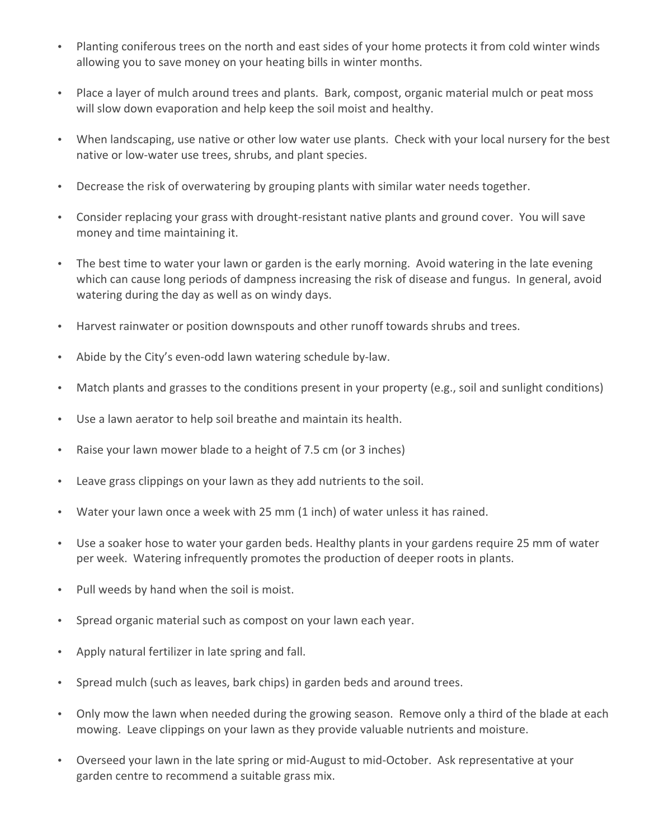- Planting coniferous trees on the north and east sides of your home protects it from cold winter winds allowing you to save money on your heating bills in winter months.
- Place a layer of mulch around trees and plants. Bark, compost, organic material mulch or peat moss will slow down evaporation and help keep the soil moist and healthy.
- When landscaping, use native or other low water use plants. Check with your local nursery for the best native or low-water use trees, shrubs, and plant species.
- Decrease the risk of overwatering by grouping plants with similar water needs together.
- Consider replacing your grass with drought-resistant native plants and ground cover. You will save money and time maintaining it.
- The best time to water your lawn or garden is the early morning. Avoid watering in the late evening which can cause long periods of dampness increasing the risk of disease and fungus. In general, avoid watering during the day as well as on windy days.
- Harvest rainwater or position downspouts and other runoff towards shrubs and trees.
- Abide by the City's even-odd lawn watering schedule by-law.
- Match plants and grasses to the conditions present in your property (e.g., soil and sunlight conditions)
- Use a lawn aerator to help soil breathe and maintain its health.
- Raise your lawn mower blade to a height of 7.5 cm (or 3 inches)
- Leave grass clippings on your lawn as they add nutrients to the soil.
- Water your lawn once a week with 25 mm (1 inch) of water unless it has rained.
- Use a soaker hose to water your garden beds. Healthy plants in your gardens require 25 mm of water per week. Watering infrequently promotes the production of deeper roots in plants.
- Pull weeds by hand when the soil is moist.
- Spread organic material such as compost on your lawn each year.
- Apply natural fertilizer in late spring and fall.
- Spread mulch (such as leaves, bark chips) in garden beds and around trees.
- Only mow the lawn when needed during the growing season. Remove only a third of the blade at each mowing. Leave clippings on your lawn as they provide valuable nutrients and moisture.
- Overseed your lawn in the late spring or mid-August to mid-October. Ask representative at your garden centre to recommend a suitable grass mix.